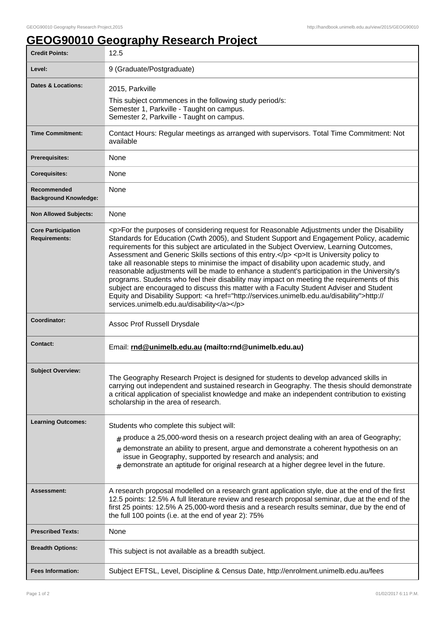## **GEOG90010 Geography Research Project**

| <b>Credit Points:</b>                             | 12.5                                                                                                                                                                                                                                                                                                                                                                                                                                                                                                                                                                                                                                                                                                                                                                                                                                                                                                                         |
|---------------------------------------------------|------------------------------------------------------------------------------------------------------------------------------------------------------------------------------------------------------------------------------------------------------------------------------------------------------------------------------------------------------------------------------------------------------------------------------------------------------------------------------------------------------------------------------------------------------------------------------------------------------------------------------------------------------------------------------------------------------------------------------------------------------------------------------------------------------------------------------------------------------------------------------------------------------------------------------|
| Level:                                            | 9 (Graduate/Postgraduate)                                                                                                                                                                                                                                                                                                                                                                                                                                                                                                                                                                                                                                                                                                                                                                                                                                                                                                    |
| <b>Dates &amp; Locations:</b>                     | 2015, Parkville                                                                                                                                                                                                                                                                                                                                                                                                                                                                                                                                                                                                                                                                                                                                                                                                                                                                                                              |
|                                                   | This subject commences in the following study period/s:<br>Semester 1, Parkville - Taught on campus.<br>Semester 2, Parkville - Taught on campus.                                                                                                                                                                                                                                                                                                                                                                                                                                                                                                                                                                                                                                                                                                                                                                            |
| <b>Time Commitment:</b>                           | Contact Hours: Regular meetings as arranged with supervisors. Total Time Commitment: Not<br>available                                                                                                                                                                                                                                                                                                                                                                                                                                                                                                                                                                                                                                                                                                                                                                                                                        |
| <b>Prerequisites:</b>                             | None                                                                                                                                                                                                                                                                                                                                                                                                                                                                                                                                                                                                                                                                                                                                                                                                                                                                                                                         |
| <b>Corequisites:</b>                              | None                                                                                                                                                                                                                                                                                                                                                                                                                                                                                                                                                                                                                                                                                                                                                                                                                                                                                                                         |
| Recommended<br><b>Background Knowledge:</b>       | None                                                                                                                                                                                                                                                                                                                                                                                                                                                                                                                                                                                                                                                                                                                                                                                                                                                                                                                         |
| <b>Non Allowed Subjects:</b>                      | None                                                                                                                                                                                                                                                                                                                                                                                                                                                                                                                                                                                                                                                                                                                                                                                                                                                                                                                         |
| <b>Core Participation</b><br><b>Requirements:</b> | <p>For the purposes of considering request for Reasonable Adjustments under the Disability<br/>Standards for Education (Cwth 2005), and Student Support and Engagement Policy, academic<br/>requirements for this subject are articulated in the Subject Overview, Learning Outcomes,<br/>Assessment and Generic Skills sections of this entry.</p> <p>lt is University policy to<br/>take all reasonable steps to minimise the impact of disability upon academic study, and<br/>reasonable adjustments will be made to enhance a student's participation in the University's<br/>programs. Students who feel their disability may impact on meeting the requirements of this<br/>subject are encouraged to discuss this matter with a Faculty Student Adviser and Student<br/>Equity and Disability Support: &lt; a href="http://services.unimelb.edu.au/disability"&gt;http://<br/>services.unimelb.edu.au/disability</p> |
|                                                   |                                                                                                                                                                                                                                                                                                                                                                                                                                                                                                                                                                                                                                                                                                                                                                                                                                                                                                                              |
| Coordinator:                                      | Assoc Prof Russell Drysdale                                                                                                                                                                                                                                                                                                                                                                                                                                                                                                                                                                                                                                                                                                                                                                                                                                                                                                  |
| Contact:                                          | Email: rnd@unimelb.edu.au (mailto:rnd@unimelb.edu.au)                                                                                                                                                                                                                                                                                                                                                                                                                                                                                                                                                                                                                                                                                                                                                                                                                                                                        |
| <b>Subject Overview:</b>                          | The Geography Research Project is designed for students to develop advanced skills in<br>carrying out independent and sustained research in Geography. The thesis should demonstrate<br>a critical application of specialist knowledge and make an independent contribution to existing<br>scholarship in the area of research.                                                                                                                                                                                                                                                                                                                                                                                                                                                                                                                                                                                              |
| <b>Learning Outcomes:</b>                         | Students who complete this subject will:                                                                                                                                                                                                                                                                                                                                                                                                                                                                                                                                                                                                                                                                                                                                                                                                                                                                                     |
|                                                   | $#$ produce a 25,000-word thesis on a research project dealing with an area of Geography;<br>demonstrate an ability to present, argue and demonstrate a coherent hypothesis on an<br>#<br>issue in Geography, supported by research and analysis; and<br>$*$ demonstrate an aptitude for original research at a higher degree level in the future.                                                                                                                                                                                                                                                                                                                                                                                                                                                                                                                                                                           |
| Assessment:                                       | A research proposal modelled on a research grant application style, due at the end of the first<br>12.5 points: 12.5% A full literature review and research proposal seminar, due at the end of the<br>first 25 points: 12.5% A 25,000-word thesis and a research results seminar, due by the end of<br>the full 100 points (i.e. at the end of year 2): 75%                                                                                                                                                                                                                                                                                                                                                                                                                                                                                                                                                                 |
| <b>Prescribed Texts:</b>                          | None                                                                                                                                                                                                                                                                                                                                                                                                                                                                                                                                                                                                                                                                                                                                                                                                                                                                                                                         |
| <b>Breadth Options:</b>                           | This subject is not available as a breadth subject.                                                                                                                                                                                                                                                                                                                                                                                                                                                                                                                                                                                                                                                                                                                                                                                                                                                                          |